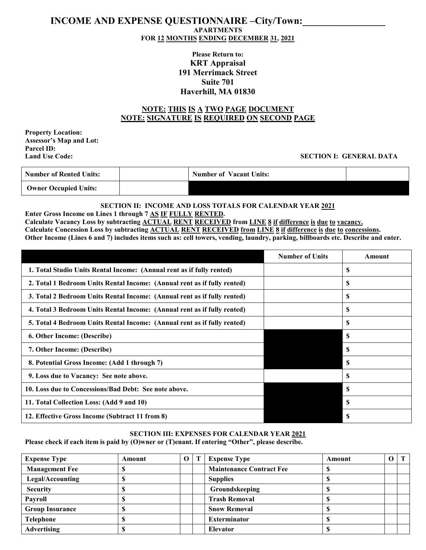# **INCOME AND EXPENSE QUESTIONNAIRE –City/Town: APARTMENTS FOR 12 MONTHS ENDING DECEMBER 31, 2021**

# **Please Return to: KRT Appraisal 191 Merrimack Street Suite 701 Haverhill, MA 01830**

## **NOTE: THIS IS A TWO PAGE DOCUMENT NOTE: SIGNATURE IS REQUIRED ON SECOND PAGE**

**Property Location: Assessor's Map and Lot: Parcel ID:**

## **SECTION I: GENERAL DATA**

| <b>Number of Rented Units:</b> | <b>Number of Vacant Units:</b> |  |
|--------------------------------|--------------------------------|--|
| <b>Owner Occupied Units:</b>   |                                |  |

#### **SECTION II: INCOME AND LOSS TOTALS FOR CALENDAR YEAR 2021 Enter Gross Income on Lines 1 through 7 AS IF FULLY RENTED.**

**Calculate Vacancy Loss by subtracting ACTUAL RENT RECEIVED from LINE 8 if difference is due to vacancy. Calculate Concession Loss by subtracting ACTUAL RENT RECEIVED from LINE 8 if difference is due to concessions. Other Income (Lines 6 and 7) includes items such as: cell towers, vending, laundry, parking, billboards etc. Describe and enter.**

|                                                                          | <b>Number of Units</b> | Amount        |
|--------------------------------------------------------------------------|------------------------|---------------|
| 1. Total Studio Units Rental Income: (Annual rent as if fully rented)    |                        | S             |
| 2. Total 1 Bedroom Units Rental Income: (Annual rent as if fully rented) |                        | S             |
| 3. Total 2 Bedroom Units Rental Income: (Annual rent as if fully rented) |                        | \$.           |
| 4. Total 3 Bedroom Units Rental Income: (Annual rent as if fully rented) |                        | \$.           |
| 5. Total 4 Bedroom Units Rental Income: (Annual rent as if fully rented) |                        | S             |
| 6. Other Income: (Describe)                                              |                        | -S            |
| 7. Other Income: (Describe)                                              |                        | <b>S</b>      |
| 8. Potential Gross Income: (Add 1 through 7)                             |                        | -S            |
| 9. Loss due to Vacancy: See note above.                                  |                        | \$.           |
| 10. Loss due to Concessions/Bad Debt: See note above.                    |                        | -S            |
| 11. Total Collection Loss: (Add 9 and 10)                                |                        | S             |
| 12. Effective Gross Income (Subtract 11 from 8)                          |                        | <sup>\$</sup> |

### **SECTION III: EXPENSES FOR CALENDAR YEAR 2021**

**Please check if each item is paid by (O)wner or (T)enant. If entering "Other", please describe.**

| <b>Expense Type</b>    | Amount | $\Omega$ | <b>Expense Type</b>             | Amount | $\Omega$ |  |
|------------------------|--------|----------|---------------------------------|--------|----------|--|
| <b>Management Fee</b>  |        |          | <b>Maintenance Contract Fee</b> |        |          |  |
| Legal/Accounting       |        |          | <b>Supplies</b>                 |        |          |  |
| <b>Security</b>        |        |          | Groundskeeping                  |        |          |  |
| Payroll                |        |          | <b>Trash Removal</b>            |        |          |  |
| <b>Group Insurance</b> |        |          | <b>Snow Removal</b>             |        |          |  |
| <b>Telephone</b>       |        |          | <b>Exterminator</b>             |        |          |  |
| <b>Advertising</b>     |        |          | <b>Elevator</b>                 |        |          |  |